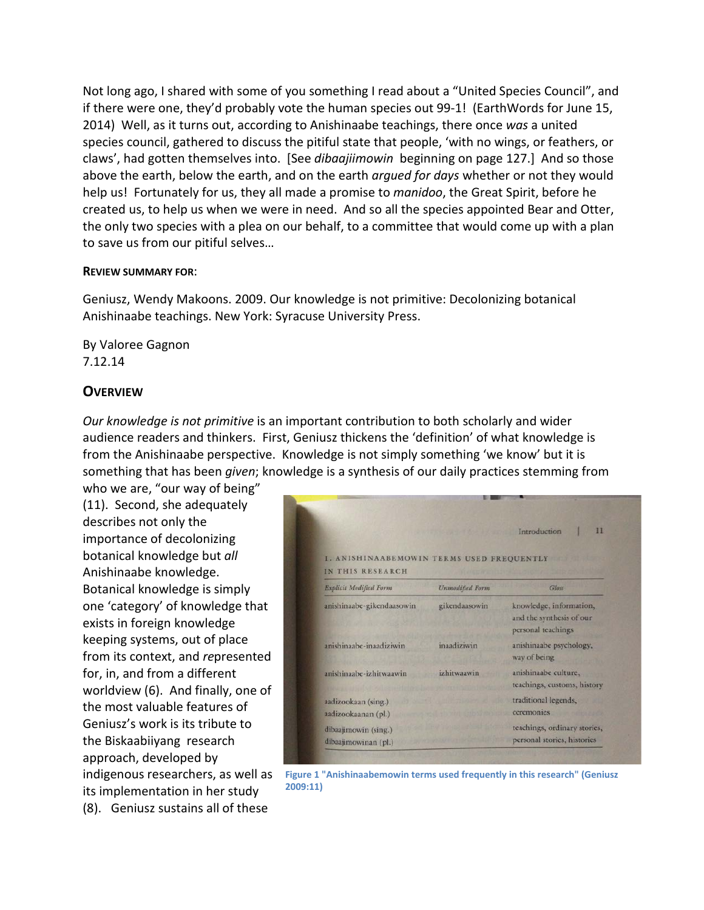Not long ago, I shared with some of you something I read about a "United Species Council", and if there were one, they'd probably vote the human species out 99-1! (EarthWords for June 15, 2014) Well, as it turns out, according to Anishinaabe teachings, there once *was* a united species council, gathered to discuss the pitiful state that people, 'with no wings, or feathers, or claws', had gotten themselves into. [See *dibaajiimowin* beginning on page 127.] And so those above the earth, below the earth, and on the earth *argued for days* whether or not they would help us! Fortunately for us, they all made a promise to *manidoo*, the Great Spirit, before he created us, to help us when we were in need. And so all the species appointed Bear and Otter, the only two species with a plea on our behalf, to a committee that would come up with a plan to save us from our pitiful selves…

#### **REVIEW SUMMARY FOR**:

Geniusz, Wendy Makoons. 2009. Our knowledge is not primitive: Decolonizing botanical Anishinaabe teachings. New York: Syracuse University Press.

By Valoree Gagnon 7.12.14

### **OVERVIEW**

*Our knowledge is not primitive* is an important contribution to both scholarly and wider audience readers and thinkers. First, Geniusz thickens the 'definition' of what knowledge is from the Anishinaabe perspective. Knowledge is not simply something 'we know' but it is something that has been *given*; knowledge is a synthesis of our daily practices stemming from

who we are, "our way of being" (11). Second, she adequately describes not only the importance of decolonizing botanical knowledge but *all* Anishinaabe knowledge. Botanical knowledge is simply one 'category' of knowledge that exists in foreign knowledge keeping systems, out of place from its context, and *re*presented for, in, and from a different worldview (6). And finally, one of the most valuable features of Geniusz's work is its tribute to the Biskaabiiyang research approach, developed by indigenous researchers, as well as its implementation in her study (8). Geniusz sustains all of these

|                                                               |                        | $_{11}$<br>Introduction                                                   |
|---------------------------------------------------------------|------------------------|---------------------------------------------------------------------------|
| I. ANISHINAABEMOWIN TERMS USED FREQUENTLY<br>IN THIS RESEARCH |                        |                                                                           |
| <b>Explicit Modified Form</b>                                 | <b>Unmodified Form</b> | Glass                                                                     |
| anishinaabe-gikendaasowin                                     | gikendaasowin          | knowledge, information,<br>and the synthesis of our<br>personal teachings |
| anishinaabe-inaadiziwin                                       | inaadiziwin            | anishinaabe psychology,<br>way of being                                   |
| anishinaabe-izhitwaawin                                       | izhitwaawin            | anishinaabe culture,<br>teachings, customs, history                       |
| aadizookaan (sing.)<br>aadizookaanan (pl.)                    |                        | traditional legends,<br>ceremonies                                        |
| dibaajimowin (sing.)<br>dibaajimowinan (pl.)                  |                        | teachings, ordinary stories,<br>personal stories, histories               |

**Figure 1 "Anishinaabemowin terms used frequently in this research" (Geniusz 2009:11)**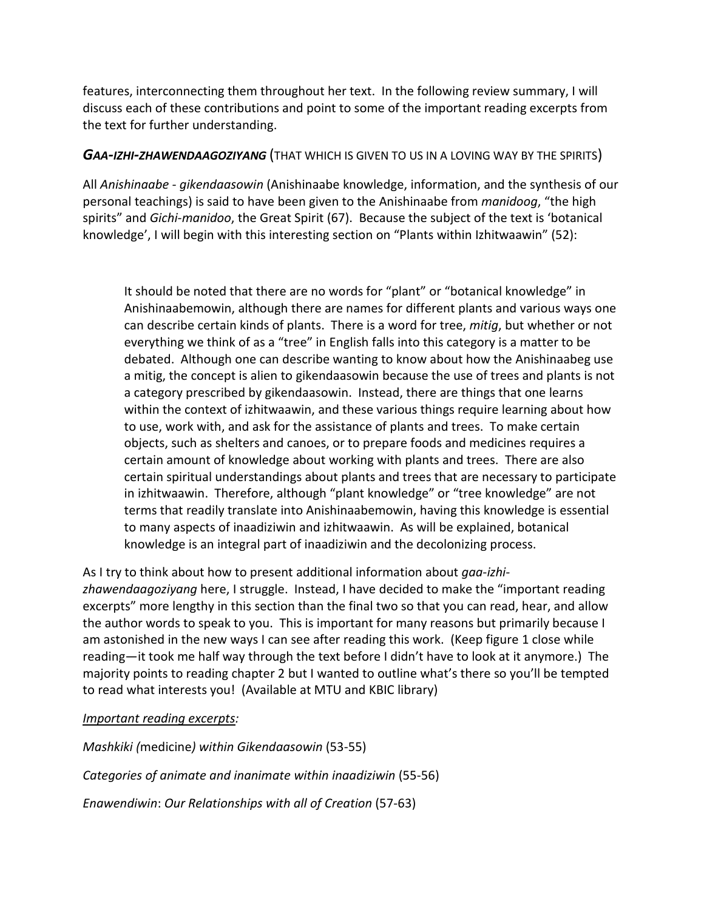features, interconnecting them throughout her text. In the following review summary, I will discuss each of these contributions and point to some of the important reading excerpts from the text for further understanding.

## *GAA-IZHI-ZHAWENDAAGOZIYANG* (THAT WHICH IS GIVEN TO US IN A LOVING WAY BY THE SPIRITS)

All *Anishinaabe - gikendaasowin* (Anishinaabe knowledge, information, and the synthesis of our personal teachings) is said to have been given to the Anishinaabe from *manidoog*, "the high spirits" and *Gichi-manidoo*, the Great Spirit (67). Because the subject of the text is 'botanical knowledge', I will begin with this interesting section on "Plants within Izhitwaawin" (52):

It should be noted that there are no words for "plant" or "botanical knowledge" in Anishinaabemowin, although there are names for different plants and various ways one can describe certain kinds of plants. There is a word for tree, *mitig*, but whether or not everything we think of as a "tree" in English falls into this category is a matter to be debated. Although one can describe wanting to know about how the Anishinaabeg use a mitig, the concept is alien to gikendaasowin because the use of trees and plants is not a category prescribed by gikendaasowin. Instead, there are things that one learns within the context of izhitwaawin, and these various things require learning about how to use, work with, and ask for the assistance of plants and trees. To make certain objects, such as shelters and canoes, or to prepare foods and medicines requires a certain amount of knowledge about working with plants and trees. There are also certain spiritual understandings about plants and trees that are necessary to participate in izhitwaawin. Therefore, although "plant knowledge" or "tree knowledge" are not terms that readily translate into Anishinaabemowin, having this knowledge is essential to many aspects of inaadiziwin and izhitwaawin. As will be explained, botanical knowledge is an integral part of inaadiziwin and the decolonizing process.

As I try to think about how to present additional information about *gaa-izhizhawendaagoziyang* here, I struggle. Instead, I have decided to make the "important reading excerpts" more lengthy in this section than the final two so that you can read, hear, and allow the author words to speak to you. This is important for many reasons but primarily because I am astonished in the new ways I can see after reading this work. (Keep figure 1 close while reading—it took me half way through the text before I didn't have to look at it anymore.) The majority points to reading chapter 2 but I wanted to outline what's there so you'll be tempted to read what interests you! (Available at MTU and KBIC library)

#### *Important reading excerpts:*

*Mashkiki (*medicine*) within Gikendaasowin* (53-55)

*Categories of animate and inanimate within inaadiziwin* (55-56)

*Enawendiwin*: *Our Relationships with all of Creation* (57-63)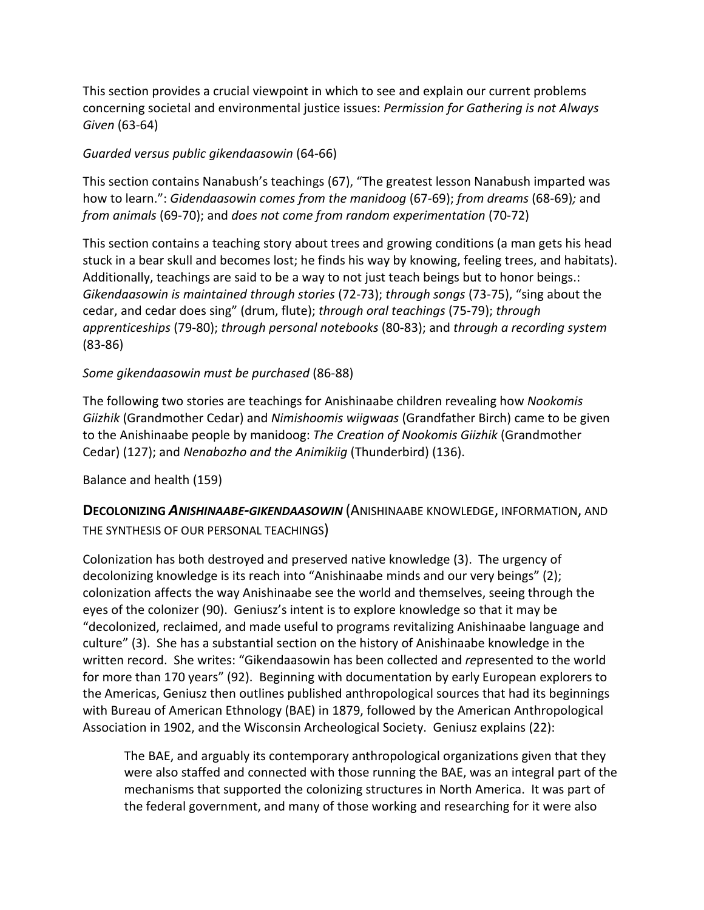This section provides a crucial viewpoint in which to see and explain our current problems concerning societal and environmental justice issues: *Permission for Gathering is not Always Given* (63-64)

### *Guarded versus public gikendaasowin* (64-66)

This section contains Nanabush's teachings (67), "The greatest lesson Nanabush imparted was how to learn.": *Gidendaasowin comes from the manidoog* (67-69); *from dreams* (68-69)*;* and *from animals* (69-70); and *does not come from random experimentation* (70-72)

This section contains a teaching story about trees and growing conditions (a man gets his head stuck in a bear skull and becomes lost; he finds his way by knowing, feeling trees, and habitats). Additionally, teachings are said to be a way to not just teach beings but to honor beings.: *Gikendaasowin is maintained through stories* (72-73); *through songs* (73-75), "sing about the cedar, and cedar does sing" (drum, flute); *through oral teachings* (75-79); *through apprenticeships* (79-80); *through personal notebooks* (80-83); and *through a recording system* (83-86)

## *Some gikendaasowin must be purchased* (86-88)

The following two stories are teachings for Anishinaabe children revealing how *Nookomis Giizhik* (Grandmother Cedar) and *Nimishoomis wiigwaas* (Grandfather Birch) came to be given to the Anishinaabe people by manidoog: *The Creation of Nookomis Giizhik* (Grandmother Cedar) (127); and *Nenabozho and the Animikiig* (Thunderbird) (136).

Balance and health (159)

**DECOLONIZING** *ANISHINAABE-GIKENDAASOWIN* (ANISHINAABE KNOWLEDGE, INFORMATION, AND THE SYNTHESIS OF OUR PERSONAL TEACHINGS)

Colonization has both destroyed and preserved native knowledge (3). The urgency of decolonizing knowledge is its reach into "Anishinaabe minds and our very beings" (2); colonization affects the way Anishinaabe see the world and themselves, seeing through the eyes of the colonizer (90). Geniusz's intent is to explore knowledge so that it may be "decolonized, reclaimed, and made useful to programs revitalizing Anishinaabe language and culture" (3). She has a substantial section on the history of Anishinaabe knowledge in the written record. She writes: "Gikendaasowin has been collected and *re*presented to the world for more than 170 years" (92). Beginning with documentation by early European explorers to the Americas, Geniusz then outlines published anthropological sources that had its beginnings with Bureau of American Ethnology (BAE) in 1879, followed by the American Anthropological Association in 1902, and the Wisconsin Archeological Society. Geniusz explains (22):

The BAE, and arguably its contemporary anthropological organizations given that they were also staffed and connected with those running the BAE, was an integral part of the mechanisms that supported the colonizing structures in North America. It was part of the federal government, and many of those working and researching for it were also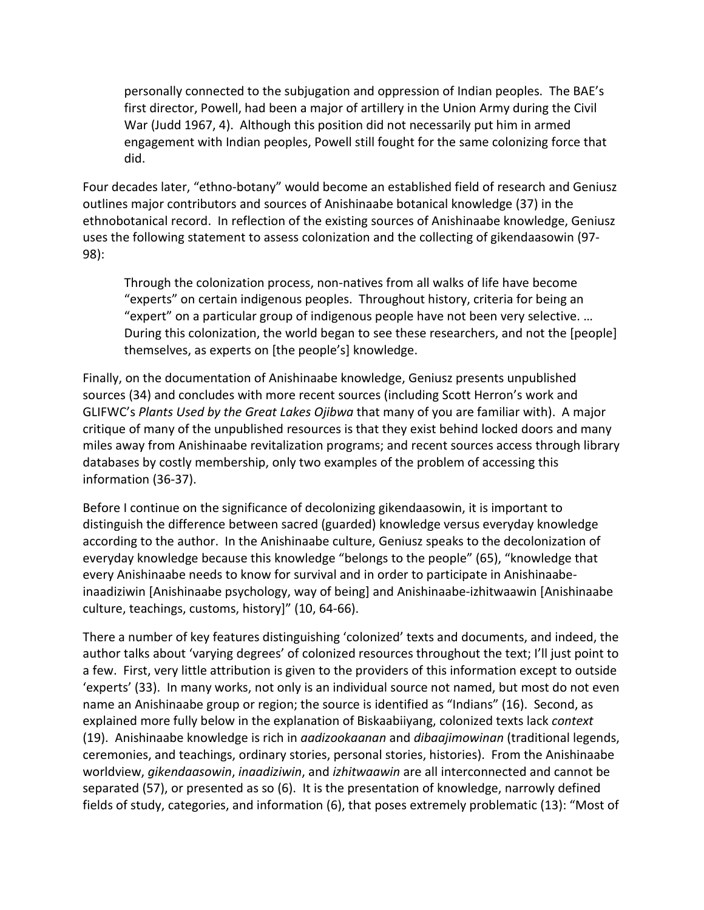personally connected to the subjugation and oppression of Indian peoples. The BAE's first director, Powell, had been a major of artillery in the Union Army during the Civil War (Judd 1967, 4). Although this position did not necessarily put him in armed engagement with Indian peoples, Powell still fought for the same colonizing force that did.

Four decades later, "ethno-botany" would become an established field of research and Geniusz outlines major contributors and sources of Anishinaabe botanical knowledge (37) in the ethnobotanical record. In reflection of the existing sources of Anishinaabe knowledge, Geniusz uses the following statement to assess colonization and the collecting of gikendaasowin (97- 98):

Through the colonization process, non-natives from all walks of life have become "experts" on certain indigenous peoples. Throughout history, criteria for being an "expert" on a particular group of indigenous people have not been very selective. … During this colonization, the world began to see these researchers, and not the [people] themselves, as experts on [the people's] knowledge.

Finally, on the documentation of Anishinaabe knowledge, Geniusz presents unpublished sources (34) and concludes with more recent sources (including Scott Herron's work and GLIFWC's *Plants Used by the Great Lakes Ojibwa* that many of you are familiar with). A major critique of many of the unpublished resources is that they exist behind locked doors and many miles away from Anishinaabe revitalization programs; and recent sources access through library databases by costly membership, only two examples of the problem of accessing this information (36-37).

Before I continue on the significance of decolonizing gikendaasowin, it is important to distinguish the difference between sacred (guarded) knowledge versus everyday knowledge according to the author. In the Anishinaabe culture, Geniusz speaks to the decolonization of everyday knowledge because this knowledge "belongs to the people" (65), "knowledge that every Anishinaabe needs to know for survival and in order to participate in Anishinaabeinaadiziwin [Anishinaabe psychology, way of being] and Anishinaabe-izhitwaawin [Anishinaabe culture, teachings, customs, history]" (10, 64-66).

There a number of key features distinguishing 'colonized' texts and documents, and indeed, the author talks about 'varying degrees' of colonized resources throughout the text; I'll just point to a few. First, very little attribution is given to the providers of this information except to outside 'experts' (33). In many works, not only is an individual source not named, but most do not even name an Anishinaabe group or region; the source is identified as "Indians" (16). Second, as explained more fully below in the explanation of Biskaabiiyang, colonized texts lack *context* (19). Anishinaabe knowledge is rich in *aadizookaanan* and *dibaajimowinan* (traditional legends, ceremonies, and teachings, ordinary stories, personal stories, histories). From the Anishinaabe worldview, *gikendaasowin*, *inaadiziwin*, and *izhitwaawin* are all interconnected and cannot be separated (57), or presented as so (6). It is the presentation of knowledge, narrowly defined fields of study, categories, and information (6), that poses extremely problematic (13): "Most of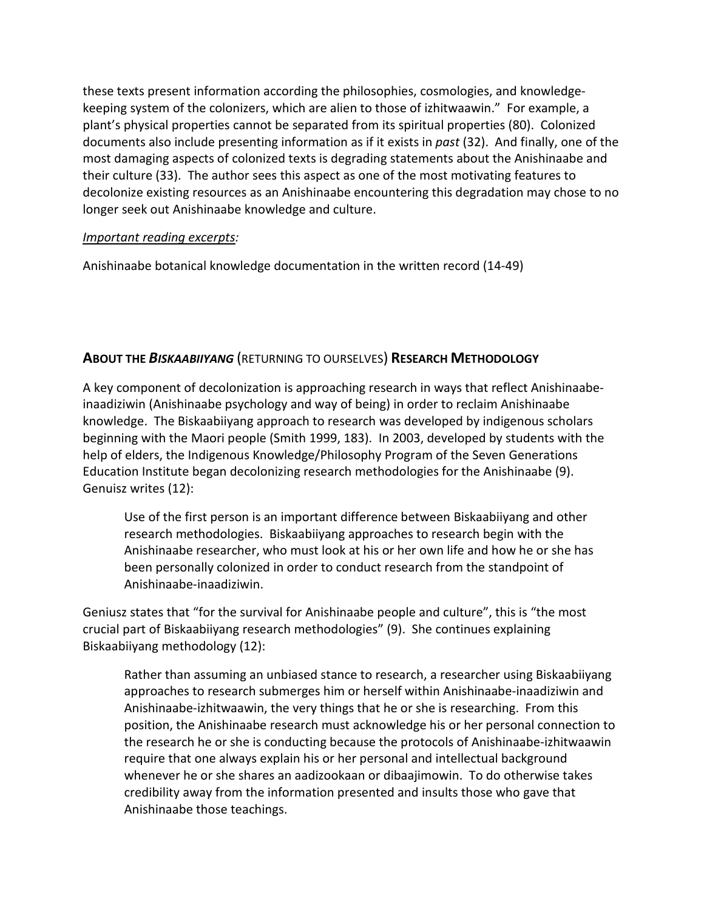these texts present information according the philosophies, cosmologies, and knowledgekeeping system of the colonizers, which are alien to those of izhitwaawin." For example, a plant's physical properties cannot be separated from its spiritual properties (80). Colonized documents also include presenting information as if it exists in *past* (32). And finally, one of the most damaging aspects of colonized texts is degrading statements about the Anishinaabe and their culture (33). The author sees this aspect as one of the most motivating features to decolonize existing resources as an Anishinaabe encountering this degradation may chose to no longer seek out Anishinaabe knowledge and culture.

### *Important reading excerpts:*

Anishinaabe botanical knowledge documentation in the written record (14-49)

# **ABOUT THE** *BISKAABIIYANG* (RETURNING TO OURSELVES) **RESEARCH METHODOLOGY**

A key component of decolonization is approaching research in ways that reflect Anishinaabeinaadiziwin (Anishinaabe psychology and way of being) in order to reclaim Anishinaabe knowledge. The Biskaabiiyang approach to research was developed by indigenous scholars beginning with the Maori people (Smith 1999, 183). In 2003, developed by students with the help of elders, the Indigenous Knowledge/Philosophy Program of the Seven Generations Education Institute began decolonizing research methodologies for the Anishinaabe (9). Genuisz writes (12):

Use of the first person is an important difference between Biskaabiiyang and other research methodologies. Biskaabiiyang approaches to research begin with the Anishinaabe researcher, who must look at his or her own life and how he or she has been personally colonized in order to conduct research from the standpoint of Anishinaabe-inaadiziwin.

Geniusz states that "for the survival for Anishinaabe people and culture", this is "the most crucial part of Biskaabiiyang research methodologies" (9). She continues explaining Biskaabiiyang methodology (12):

Rather than assuming an unbiased stance to research, a researcher using Biskaabiiyang approaches to research submerges him or herself within Anishinaabe-inaadiziwin and Anishinaabe-izhitwaawin, the very things that he or she is researching. From this position, the Anishinaabe research must acknowledge his or her personal connection to the research he or she is conducting because the protocols of Anishinaabe-izhitwaawin require that one always explain his or her personal and intellectual background whenever he or she shares an aadizookaan or dibaajimowin. To do otherwise takes credibility away from the information presented and insults those who gave that Anishinaabe those teachings.